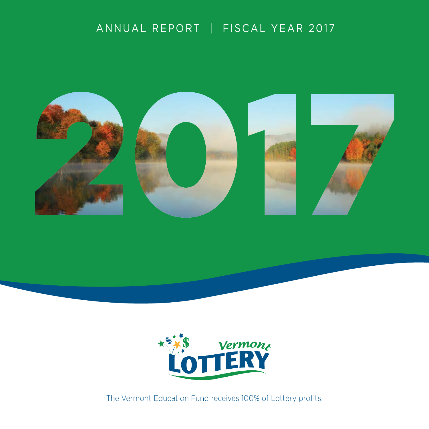# ANNUAL REPORT | FISCAL YEAR 2017





The Vermont Education Fund receives 100% of Lottery profits.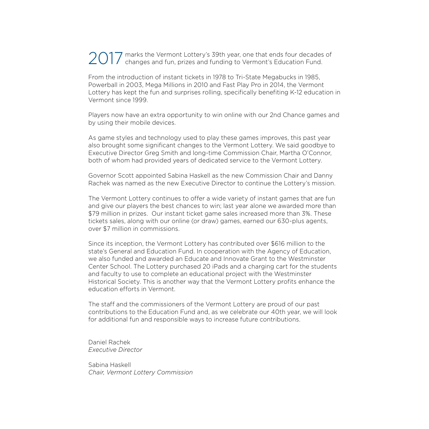$2017$  marks the Vermont Lottery's 39th year, one that ends four decades of changes and fun, prizes and funding to Vermont's Education Fund. changes and fun, prizes and funding to Vermont's Education Fund.

From the introduction of instant tickets in 1978 to Tri-State Megabucks in 1985, Powerball in 2003, Mega Millions in 2010 and Fast Play Pro in 2014, the Vermont Lottery has kept the fun and surprises rolling, specifically benefiting K-12 education in Vermont since 1999.

Players now have an extra opportunity to win online with our 2nd Chance games and by using their mobile devices.

As game styles and technology used to play these games improves, this past year also brought some significant changes to the Vermont Lottery. We said goodbye to Executive Director Greg Smith and long-time Commission Chair, Martha O'Connor, both of whom had provided years of dedicated service to the Vermont Lottery.

Governor Scott appointed Sabina Haskell as the new Commission Chair and Danny Rachek was named as the new Executive Director to continue the Lottery's mission.

The Vermont Lottery continues to offer a wide variety of instant games that are fun and give our players the best chances to win; last year alone we awarded more than \$79 million in prizes. Our instant ticket game sales increased more than 3%. These tickets sales, along with our online (or draw) games, earned our 630-plus agents, over \$7 million in commissions.

Since its inception, the Vermont Lottery has contributed over \$616 million to the state's General and Education Fund. In cooperation with the Agency of Education, we also funded and awarded an Educate and Innovate Grant to the Westminster Center School. The Lottery purchased 20 iPads and a charging cart for the students and faculty to use to complete an educational project with the Westminster Historical Society. This is another way that the Vermont Lottery profits enhance the education efforts in Vermont.

The staff and the commissioners of the Vermont Lottery are proud of our past contributions to the Education Fund and, as we celebrate our 40th year, we will look for additional fun and responsible ways to increase future contributions.

Daniel Rachek *Executive Director*

Sabina Haskell *Chair, Vermont Lottery Commission*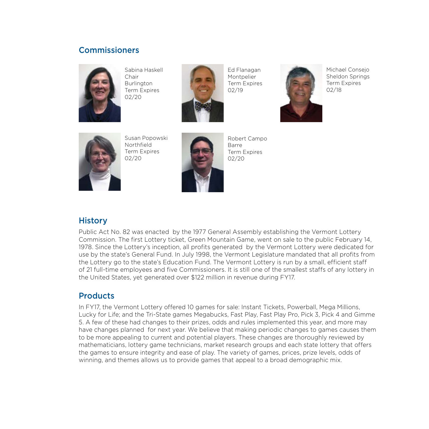### **Commissioners**



Sabina Haskell Chair Burlington Term Expires 02/20



Ed Flanagan Montpelier Term Expires 02/19



Michael Consejo Sheldon Springs Term Expires 02/18



Susan Popowski Northfield Term Expires 02/20



Robert Campo Barre Term Expires 02/20

### **History**

Public Act No. 82 was enacted by the 1977 General Assembly establishing the Vermont Lottery Commission. The first Lottery ticket, Green Mountain Game, went on sale to the public February 14, 1978. Since the Lottery's inception, all profits generated by the Vermont Lottery were dedicated for use by the state's General Fund. In July 1998, the Vermont Legislature mandated that all profits from the Lottery go to the state's Education Fund. The Vermont Lottery is run by a small, efficient staff of 21 full-time employees and five Commissioners. It is still one of the smallest staffs of any lottery in the United States, yet generated over \$122 million in revenue during FY17.

#### **Products**

In FY17, the Vermont Lottery offered 10 games for sale: Instant Tickets, Powerball, Mega Millions, Lucky for Life; and the Tri-State games Megabucks, Fast Play, Fast Play Pro, Pick 3, Pick 4 and Gimme 5. A few of these had changes to their prizes, odds and rules implemented this year, and more may have changes planned for next year. We believe that making periodic changes to games causes them to be more appealing to current and potential players. These changes are thoroughly reviewed by mathematicians, lottery game technicians, market research groups and each state lottery that offers the games to ensure integrity and ease of play. The variety of games, prices, prize levels, odds of winning, and themes allows us to provide games that appeal to a broad demographic mix.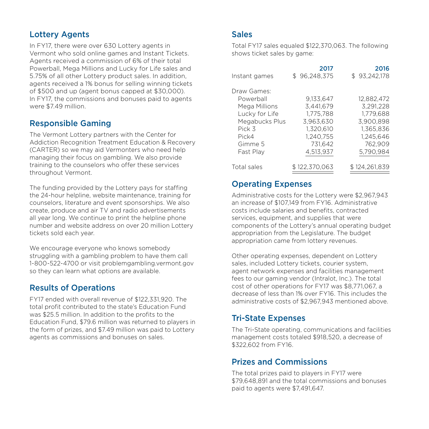# Lottery Agents

In FY17, there were over 630 Lottery agents in Vermont who sold online games and Instant Tickets. Agents received a commission of 6% of their total Powerball, Mega Millions and Lucky for Life sales and 5.75% of all other Lottery product sales. In addition, agents received a 1% bonus for selling winning tickets of \$500 and up (agent bonus capped at \$30,000). In FY17, the commissions and bonuses paid to agents were \$7.49 million.

# Responsible Gaming

The Vermont Lottery partners with the Center for Addiction Recognition Treatment Education & Recovery (CARTER) so we may aid Vermonters who need help managing their focus on gambling. We also provide training to the counselors who offer these services throughout Vermont.

The funding provided by the Lottery pays for staffing the 24-hour helpline, website maintenance, training for counselors, literature and event sponsorships. We also create, produce and air TV and radio advertisements all year long. We continue to print the helpline phone number and website address on over 20 million Lottery tickets sold each year.

We encourage everyone who knows somebody struggling with a gambling problem to have them call 1-800-522-4700 or visit problemgambling.vermont.gov so they can learn what options are available.

# Results of Operations

FY17 ended with overall revenue of \$122,331,920. The total profit contributed to the state's Education Fund was \$25.5 million. In addition to the profits to the Education Fund, \$79.6 million was returned to players in the form of prizes, and \$7.49 million was paid to Lottery agents as commissions and bonuses on sales.

## **Sales**

Total FY17 sales equaled \$122,370,063. The following shows ticket sales by game:

| Instant games                                                                                                            | 2017<br>\$96,248,375                                                                               | 2016<br>\$93.242.178                                                                                |
|--------------------------------------------------------------------------------------------------------------------------|----------------------------------------------------------------------------------------------------|-----------------------------------------------------------------------------------------------------|
| Draw Games:<br>Powerball<br>Mega Millions<br>Lucky for Life<br>Megabucks Plus<br>Pick 3<br>Pick4<br>Gimme 5<br>Fast Play | 9,133,647<br>3.441.679<br>1.775.788<br>3.963.630<br>1.320.610<br>1.240.755<br>731.642<br>4,513,937 | 12.882.472<br>3,291,228<br>1.779.688<br>3.900.898<br>1.365.836<br>1.245.646<br>762.909<br>5.790.984 |
| Total sales                                                                                                              | \$122.370.063                                                                                      | \$124.261.839                                                                                       |

# Operating Expenses

Administrative costs for the Lottery were \$2,967,943 an increase of \$107,149 from FY16. Administrative costs include salaries and benefits, contracted services, equipment, and supplies that were components of the Lottery's annual operating budget appropriation from the Legislature. The budget appropriation came from lottery revenues.

Other operating expenses, dependent on Lottery sales, included Lottery tickets, courier system, agent network expenses and facilities management fees to our gaming vendor (Intralot, Inc.). The total cost of other operations for FY17 was \$8,771,067, a decrease of less than 1% over FY16. This includes the administrative costs of \$2,967,943 mentioned above.

# Tri-State Expenses

The Tri-State operating, communications and facilities management costs totaled \$918,520, a decrease of \$322,602 from FY16.

# Prizes and Commissions

The total prizes paid to players in FY17 were \$79,648,891 and the total commissions and bonuses paid to agents were \$7,491,647.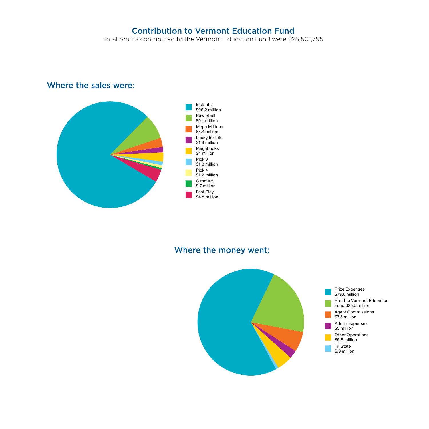# Contribution to Vermont Education Fund

Total profits contributed to the Vermont Education Fund were \$25,501,795 .

# Where the sales were:



## Where the money went:

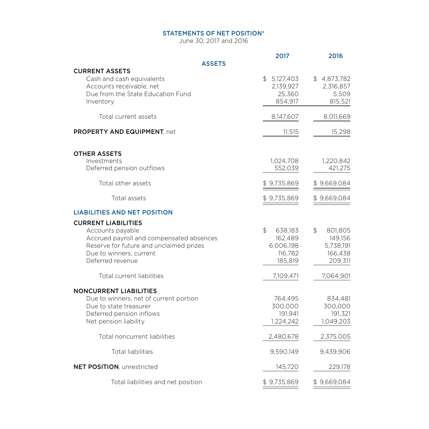#### STATEMENTS OF NET POSITION\*

June 30, 2017 and 2016

|                                                                                                                                                                                      | 2017                                                                                    | 2016                                                        |
|--------------------------------------------------------------------------------------------------------------------------------------------------------------------------------------|-----------------------------------------------------------------------------------------|-------------------------------------------------------------|
| <b>ASSETS</b><br><b>CURRENT ASSETS</b>                                                                                                                                               |                                                                                         |                                                             |
| Cash and cash equivalents<br>Accounts receivable, net<br>Due from the State Education Fund<br>Inventory                                                                              | \$5,127,403<br>2,139,927<br>25,360<br>854,917                                           | \$4,873,782<br>2,316,857<br>5,509<br>815,521                |
| Total current assets                                                                                                                                                                 | 8,147,607                                                                               | 8,011,669                                                   |
| PROPERTY AND EQUIPMENT, net                                                                                                                                                          | 11,515                                                                                  | 15,298                                                      |
| <b>OTHER ASSETS</b><br>Investments<br>Deferred pension outflows                                                                                                                      | 1,024,708<br>552,039                                                                    | 1,220,842<br>421,275                                        |
| Total other assets                                                                                                                                                                   | \$9,735,869                                                                             | \$9,669,084                                                 |
| Total assets                                                                                                                                                                         | \$9,735,869                                                                             | \$9,669,084                                                 |
| <b>LIABILITIES AND NET POSITION</b>                                                                                                                                                  |                                                                                         |                                                             |
| <b>CURRENT LIABILITIES</b><br>Accounts payable<br>Accrued payroll and compensated absences<br>Reserve for future and unclaimed prizes<br>Due to winners, current<br>Deferred revenue | $\textcircled{\scriptsize{5}}$<br>638,183<br>162,489<br>6,006,198<br>116,782<br>185,819 | \$<br>801,805<br>149,156<br>5,738,191<br>166,438<br>209,311 |
| Total current liabilities                                                                                                                                                            | 7,109,471                                                                               | 7,064,901                                                   |
| <b>NONCURRENT LIABILITIES</b><br>Due to winners, net of current portion<br>Due to state treasurer<br>Deferred pension inflows<br>Net pension liability                               | 764,495<br>300,000<br>191,941<br>1,224,242                                              | 834,481<br>300,000<br>191,321<br>1,049,203                  |
| Total noncurrent liabilities                                                                                                                                                         | 2,480,678                                                                               | 2,375,005                                                   |
| <b>Total liabilities</b>                                                                                                                                                             | 9,590,149                                                                               | 9,439,906                                                   |
| <b>NET POSITION, unrestricted</b>                                                                                                                                                    | 145,720                                                                                 | 229,178                                                     |
| Total liabilities and net position                                                                                                                                                   | \$9,735,869                                                                             | \$9,669,084                                                 |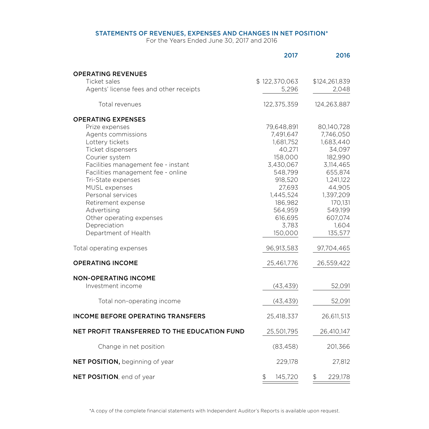#### STATEMENTS OF REVENUES, EXPENSES AND CHANGES IN NET POSITION\*

For the Years Ended June 30, 2017 and 2016

|                                              | 2017          | 2016          |
|----------------------------------------------|---------------|---------------|
| <b>OPERATING REVENUES</b>                    |               |               |
| Ticket sales                                 | \$122,370,063 | \$124,261,839 |
| Agents' license fees and other receipts      | 5,296         | 2,048         |
| Total revenues                               | 122,375,359   | 124,263,887   |
| <b>OPERATING EXPENSES</b>                    |               |               |
| Prize expenses                               | 79,648,891    | 80,140,728    |
| Agents commissions                           | 7,491,647     | 7,746,050     |
| Lottery tickets                              | 1,681,752     | 1,683,440     |
| Ticket dispensers                            | 40,271        | 34,097        |
| Courier system                               | 158,000       | 182,990       |
| Facilities management fee - instant          | 3,430,067     | 3,114,465     |
| Facilities management fee - online           | 548,799       | 655,874       |
| Tri-State expenses                           | 918,520       | 1,241,122     |
| MUSL expenses                                | 27,693        | 44,905        |
| Personal services                            | 1,445,524     | 1,397,209     |
| Retirement expense                           | 186,982       | 170,131       |
| Advertising                                  | 564,959       | 549,199       |
| Other operating expenses                     | 616,695       | 607,074       |
| Depreciation                                 | 3,783         | 1,604         |
| Department of Health                         | 150,000       | 135,577       |
| Total operating expenses                     | 96,913,583    | 97,704,465    |
| <b>OPERATING INCOME</b>                      | 25,461,776    | 26,559,422    |
| <b>NON-OPERATING INCOME</b>                  |               |               |
| Investment income                            | (43, 439)     | 52,091        |
| Total non-operating income                   | (43, 439)     | 52,091        |
| <b>INCOME BEFORE OPERATING TRANSFERS</b>     | 25,418,337    | 26,611,513    |
| NET PROFIT TRANSFERRED TO THE EDUCATION FUND | 25,501,795    | 26,410,147    |
| Change in net position                       | (83, 458)     | 201,366       |
| NET POSITION, beginning of year              | 229,178       | 27,812        |
| NET POSITION, end of year                    | \$<br>145,720 | 229,178<br>\$ |